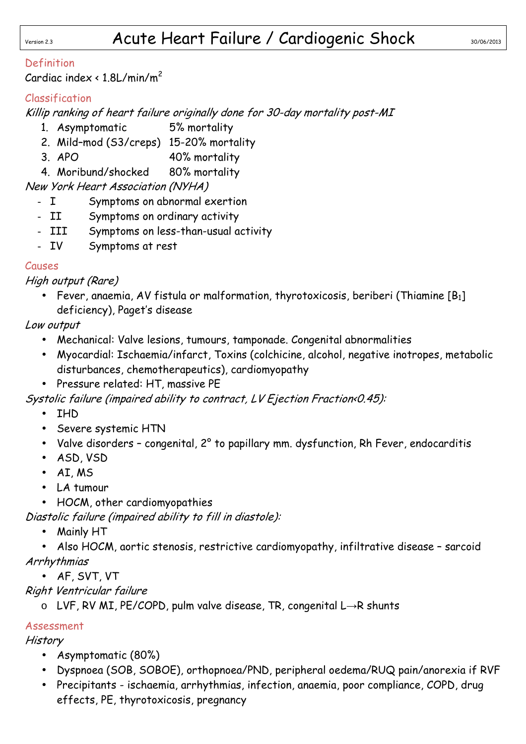### Definition

Cardiac index  $\langle 1.8$ L/min/m<sup>2</sup>

# Classification

Killip ranking of heart failure originally done for 30-day mortality post-MI

- 1. Asymptomatic 5% mortality
- 2. Mild–mod (S3/creps) 15-20% mortality
- 3. APO 40% mortality
- 4. Moribund/shocked 80% mortality

## New York Heart Association (NYHA)

- I Symptoms on abnormal exertion
- II Symptoms on ordinary activity
- III Symptoms on less-than-usual activity
- IV Symptoms at rest

### Causes

High output (Rare)

• Fever, anaemia, AV fistula or malformation, thyrotoxicosis, beriberi (Thiamine  $[B_1]$ deficiency), Paget's disease

Low output

- Mechanical: Valve lesions, tumours, tamponade. Congenital abnormalities
- Myocardial: Ischaemia/infarct, Toxins (colchicine, alcohol, negative inotropes, metabolic disturbances, chemotherapeutics), cardiomyopathy
- Pressure related: HT, massive PE

Systolic failure (impaired ability to contract, LV Ejection Fraction<0.45):

- IHD
- Severe systemic HTN
- Valve disorders congenital, 2° to papillary mm. dysfunction, Rh Fever, endocarditis
- ASD, VSD
- AI, MS
- LA tumour
- HOCM, other cardiomyopathies

Diastolic failure (impaired ability to fill in diastole):

• Mainly HT

• Also HOCM, aortic stenosis, restrictive cardiomyopathy, infiltrative disease – sarcoid Arrhythmias

• AF, SVT, VT

Right Ventricular failure

o LVF, RV MI, PE/COPD, pulm valve disease, TR, congenital L→R shunts

### Assessment

**History** 

- Asymptomatic (80%)
- Dyspnoea (SOB, SOBOE), orthopnoea/PND, peripheral oedema/RUQ pain/anorexia if RVF
- Precipitants ischaemia, arrhythmias, infection, anaemia, poor compliance, COPD, drug effects, PE, thyrotoxicosis, pregnancy